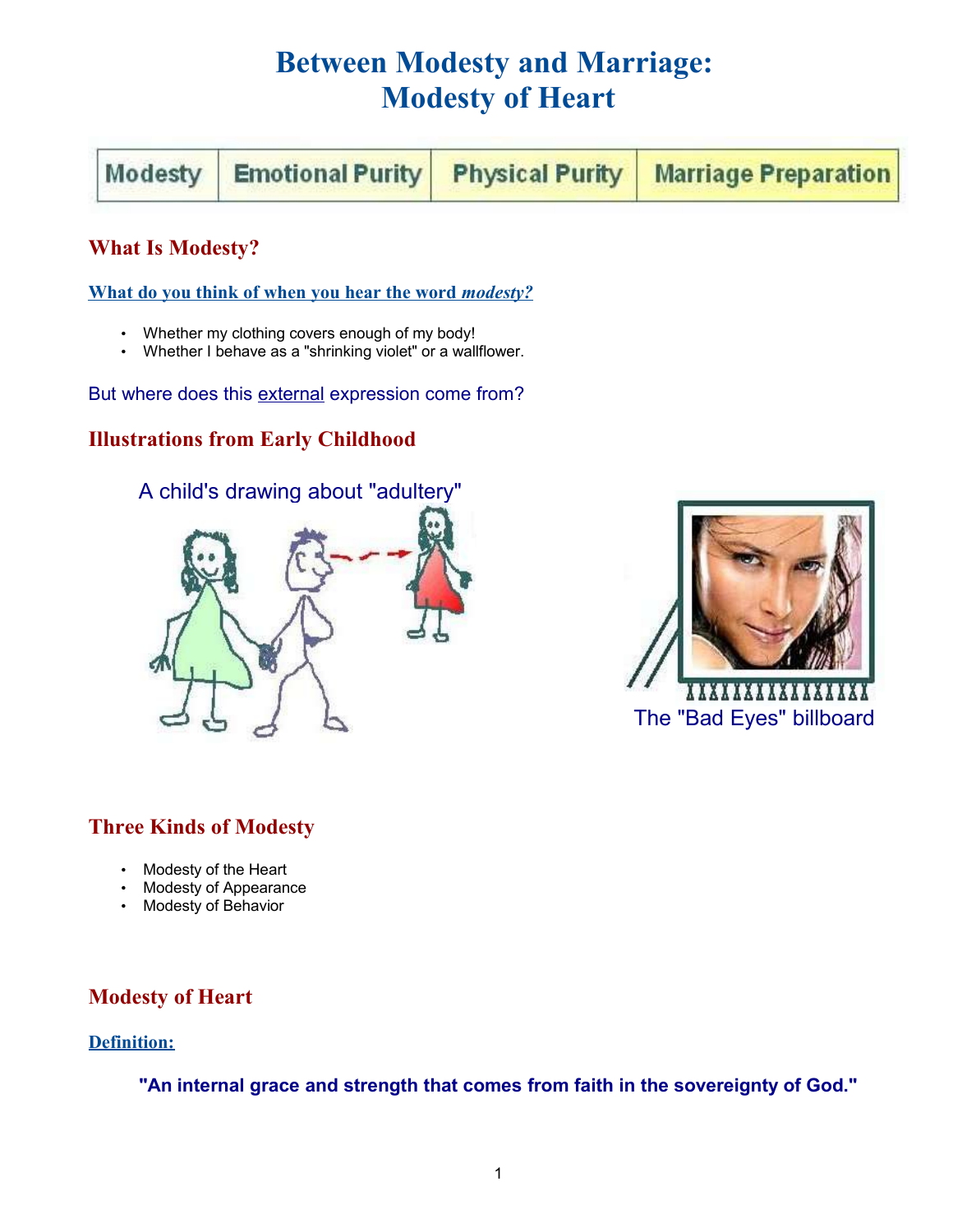# **Between Modesty and Marriage: Modesty of Heart**

| Modesty Emotional Purity Physical Purity Marriage Preparation |  |
|---------------------------------------------------------------|--|
|---------------------------------------------------------------|--|

# **What Is Modesty?**

 **What do you think of when you hear the word** *modesty?*

- Whether my clothing covers enough of my body!
- Whether I behave as a "shrinking violet" or a wallflower.

But where does this external expression come from?

# **Illustrations from Early Childhood**





## **Three Kinds of Modesty**

- Modesty of the Heart
- Modesty of Appearance
- Modesty of Behavior

## **Modesty of Heart**

#### **Definition:**

**"An internal grace and strength that comes from faith in the sovereignty of God."**